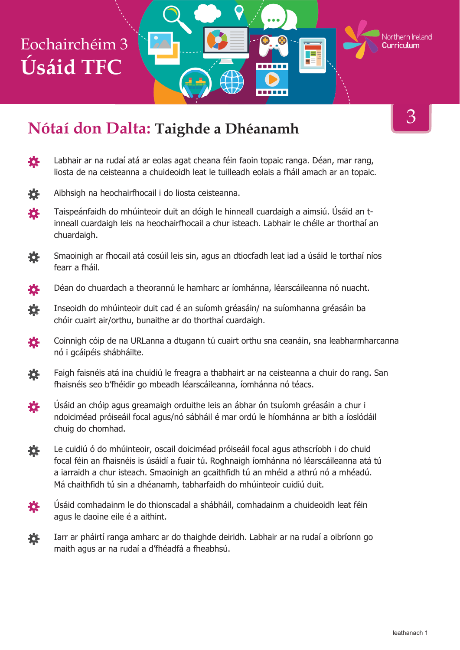#### **Nótaí don Dalta: Taighde a Dhéanamh**

3

Northern Ireland

- Labhair ar na rudaí atá ar eolas agat cheana féin faoin topaic ranga. Déan, mar rang, 養 liosta de na ceisteanna a chuideoidh leat le tuilleadh eolais a fháil amach ar an topaic.
- Aibhsigh na heochairfhocail i do liosta ceisteanna. 養
- Taispeánfaidh do mhúinteoir duit an dóigh le hinneall cuardaigh a aimsiú. Úsáid an t-娄 inneall cuardaigh leis na heochairfhocail a chur isteach. Labhair le chéile ar thorthaí an chuardaigh.
- Smaoinigh ar fhocail atá cosúil leis sin, agus an dtiocfadh leat iad a úsáid le torthaí níos 養 fearr a fháil.
- Déan do chuardach a theorannú le hamharc ar íomhánna, léarscáileanna nó nuacht. 養
- 養 Inseoidh do mhúinteoir duit cad é an suíomh gréasáin/ na suíomhanna gréasáin ba chóir cuairt air/orthu, bunaithe ar do thorthaí cuardaigh.
- Coinnigh cóip de na URLanna a dtugann tú cuairt orthu sna ceanáin, sna leabharmharcanna 養 nó i gcáipéis shábháilte.
- Faigh faisnéis atá ina chuidiú le freagra a thabhairt ar na ceisteanna a chuir do rang. San 瓷 fhaisnéis seo b'fhéidir go mbeadh léarscáileanna, íomhánna nó téacs.
- Úsáid an chóip agus greamaigh orduithe leis an ábhar ón tsuíomh gréasáin a chur i 養 ndoiciméad próiseáil focal agus/nó sábháil é mar ordú le híomhánna ar bith a íoslódáil chuig do chomhad.
- Le cuidiú ó do mhúinteoir, oscail doiciméad próiseáil focal agus athscríobh i do chuid 烧 focal féin an fhaisnéis is úsáidí a fuair tú. Roghnaigh íomhánna nó léarscáileanna atá tú a iarraidh a chur isteach. Smaoinigh an gcaithfidh tú an mhéid a athrú nó a mhéadú. Má chaithfidh tú sin a dhéanamh, tabharfaidh do mhúinteoir cuidiú duit.
- Úsáid comhadainm le do thionscadal a shábháil, comhadainm a chuideoidh leat féin 芠 agus le daoine eile é a aithint.
- Iarr ar pháirtí ranga amharc ar do thaighde deiridh. Labhair ar na rudaí a oibríonn go 養 maith agus ar na rudaí a d'fhéadfá a fheabhsú.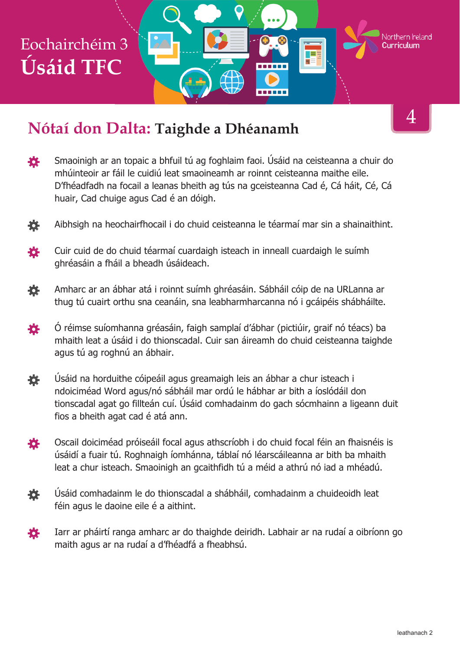#### **Nótaí don Dalta: Taighde a Dhéanamh**

- Smaoinigh ar an topaic a bhfuil tú ag foghlaim faoi. Úsáid na ceisteanna a chuir do 養 mhúinteoir ar fáil le cuidiú leat smaoineamh ar roinnt ceisteanna maithe eile. D'fhéadfadh na focail a leanas bheith ag tús na gceisteanna Cad é, Cá háit, Cé, Cá huair, Cad chuige agus Cad é an dóigh.
- Aibhsigh na heochairfhocail i do chuid ceisteanna le téarmaí mar sin a shainaithint. 養
- Cuir cuid de do chuid téarmaí cuardaigh isteach in inneall cuardaigh le suímh 各 ghréasáin a fháil a bheadh úsáideach.
- Amharc ar an ábhar atá i roinnt suímh ghréasáin. Sábháil cóip de na URLanna ar 烧 thug tú cuairt orthu sna ceanáin, sna leabharmharcanna nó i gcáipéis shábháilte.
- 養 Ó réimse suíomhanna gréasáin, faigh samplaí d'ábhar (pictiúir, graif nó téacs) ba mhaith leat a úsáid i do thionscadal. Cuir san áireamh do chuid ceisteanna taighde agus tú ag roghnú an ábhair.
- Úsáid na horduithe cóipeáil agus greamaigh leis an ábhar a chur isteach i 養 ndoiciméad Word agus/nó sábháil mar ordú le hábhar ar bith a íoslódáil don tionscadal agat go fillteán cuí. Úsáid comhadainm do gach sócmhainn a ligeann duit fios a bheith agat cad é atá ann.
- Oscail doiciméad próiseáil focal agus athscríobh i do chuid focal féin an fhaisnéis is 養 úsáidí a fuair tú. Roghnaigh íomhánna, táblaí nó léarscáileanna ar bith ba mhaith leat a chur isteach. Smaoinigh an gcaithfidh tú a méid a athrú nó iad a mhéadú.
- 春 Úsáid comhadainm le do thionscadal a shábháil, comhadainm a chuideoidh leat féin agus le daoine eile é a aithint.
- Iarr ar pháirtí ranga amharc ar do thaighde deiridh. Labhair ar na rudaí a oibríonn go 娄 maith agus ar na rudaí a d'fhéadfá a fheabhsú.

4

Northern Ireland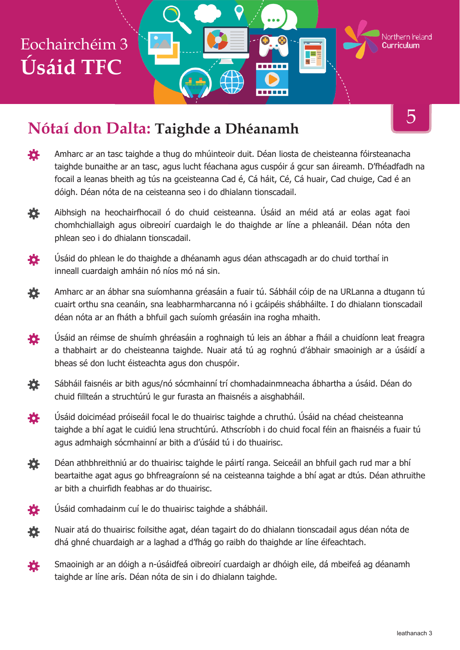#### **Nótaí don Dalta: Taighde a Dhéanamh**

登 Amharc ar an tasc taighde a thug do mhúinteoir duit. Déan liosta de cheisteanna fóirsteanacha taighde bunaithe ar an tasc, agus lucht féachana agus cuspóir á gcur san áireamh. D'fhéadfadh na focail a leanas bheith ag tús na gceisteanna Cad é, Cá háit, Cé, Cá huair, Cad chuige, Cad é an dóigh. Déan nóta de na ceisteanna seo i do dhialann tionscadail.

------

- Aibhsigh na heochairfhocail ó do chuid ceisteanna. Úsáid an méid atá ar eolas agat faoi 養 chomhchiallaigh agus oibreoirí cuardaigh le do thaighde ar líne a phleanáil. Déan nóta den phlean seo i do dhialann tionscadail.
- 许 Úsáid do phlean le do thaighde a dhéanamh agus déan athscagadh ar do chuid torthaí in inneall cuardaigh amháin nó níos mó ná sin.
- Amharc ar an ábhar sna suíomhanna gréasáin a fuair tú. Sábháil cóip de na URLanna a dtugann tú 養 cuairt orthu sna ceanáin, sna leabharmharcanna nó i gcáipéis shábháilte. I do dhialann tionscadail déan nóta ar an fháth a bhfuil gach suíomh gréasáin ina rogha mhaith.
- Úsáid an réimse de shuímh ghréasáin a roghnaigh tú leis an ábhar a fháil a chuidíonn leat freagra 娄 a thabhairt ar do cheisteanna taighde. Nuair atá tú ag roghnú d'ábhair smaoinigh ar a úsáidí a bheas sé don lucht éisteachta agus don chuspóir.
- 養 Sábháil faisnéis ar bith agus/nó sócmhainní trí chomhadainmneacha ábhartha a úsáid. Déan do chuid fillteán a struchtúrú le gur furasta an fhaisnéis a aisghabháil.
- Úsáid doiciméad próiseáil focal le do thuairisc taighde a chruthú. Úsáid na chéad cheisteanna 各 taighde a bhí agat le cuidiú lena struchtúrú. Athscríobh i do chuid focal féin an fhaisnéis a fuair tú agus admhaigh sócmhainní ar bith a d'úsáid tú i do thuairisc.
- Déan athbhreithniú ar do thuairisc taighde le páirtí ranga. Seiceáil an bhfuil gach rud mar a bhí 娄 beartaithe agat agus go bhfreagraíonn sé na ceisteanna taighde a bhí agat ar dtús. Déan athruithe ar bith a chuirfidh feabhas ar do thuairisc.



- Nuair atá do thuairisc foilsithe agat, déan tagairt do do dhialann tionscadail agus déan nóta de 養 dhá ghné chuardaigh ar a laghad a d'fhág go raibh do thaighde ar líne éifeachtach.
- Smaoinigh ar an dóigh a n-úsáidfeá oibreoirí cuardaigh ar dhóigh eile, dá mbeifeá ag déanamh 養 taighde ar líne arís. Déan nóta de sin i do dhialann taighde.

5

Northern Ireland